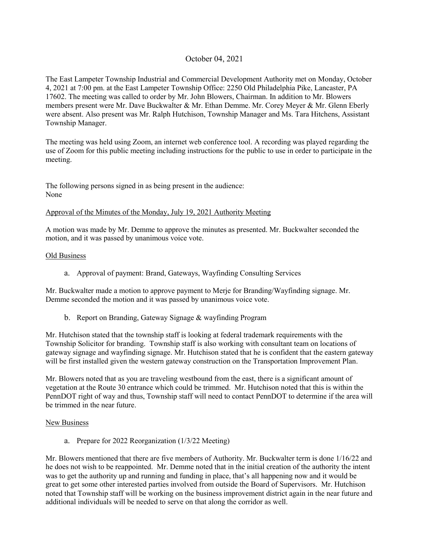# October 04, 2021

The East Lampeter Township Industrial and Commercial Development Authority met on Monday, October 4, 2021 at 7:00 pm. at the East Lampeter Township Office: 2250 Old Philadelphia Pike, Lancaster, PA 17602. The meeting was called to order by Mr. John Blowers, Chairman. In addition to Mr. Blowers members present were Mr. Dave Buckwalter & Mr. Ethan Demme. Mr. Corey Meyer & Mr. Glenn Eberly were absent. Also present was Mr. Ralph Hutchison, Township Manager and Ms. Tara Hitchens, Assistant Township Manager.

The meeting was held using Zoom, an internet web conference tool. A recording was played regarding the use of Zoom for this public meeting including instructions for the public to use in order to participate in the meeting.

The following persons signed in as being present in the audience: None

### Approval of the Minutes of the Monday, July 19, 2021 Authority Meeting

A motion was made by Mr. Demme to approve the minutes as presented. Mr. Buckwalter seconded the motion, and it was passed by unanimous voice vote.

### Old Business

a. Approval of payment: Brand, Gateways, Wayfinding Consulting Services

Mr. Buckwalter made a motion to approve payment to Merje for Branding/Wayfinding signage. Mr. Demme seconded the motion and it was passed by unanimous voice vote.

b. Report on Branding, Gateway Signage & wayfinding Program

Mr. Hutchison stated that the township staff is looking at federal trademark requirements with the Township Solicitor for branding. Township staff is also working with consultant team on locations of gateway signage and wayfinding signage. Mr. Hutchison stated that he is confident that the eastern gateway will be first installed given the western gateway construction on the Transportation Improvement Plan.

Mr. Blowers noted that as you are traveling westbound from the east, there is a significant amount of vegetation at the Route 30 entrance which could be trimmed. Mr. Hutchison noted that this is within the PennDOT right of way and thus, Township staff will need to contact PennDOT to determine if the area will be trimmed in the near future.

### New Business

a. Prepare for 2022 Reorganization (1/3/22 Meeting)

Mr. Blowers mentioned that there are five members of Authority. Mr. Buckwalter term is done 1/16/22 and he does not wish to be reappointed. Mr. Demme noted that in the initial creation of the authority the intent was to get the authority up and running and funding in place, that's all happening now and it would be great to get some other interested parties involved from outside the Board of Supervisors. Mr. Hutchison noted that Township staff will be working on the business improvement district again in the near future and additional individuals will be needed to serve on that along the corridor as well.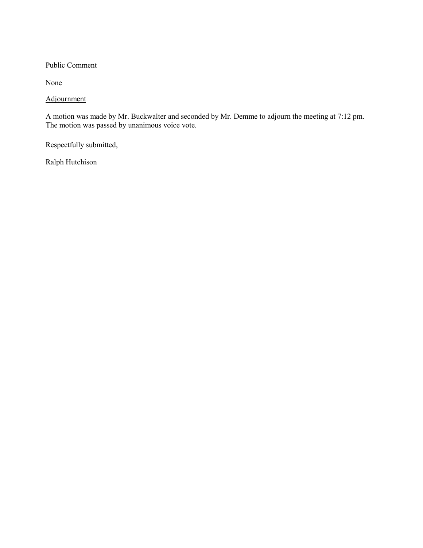## Public Comment

None

## Adjournment

A motion was made by Mr. Buckwalter and seconded by Mr. Demme to adjourn the meeting at 7:12 pm. The motion was passed by unanimous voice vote.

Respectfully submitted,

Ralph Hutchison